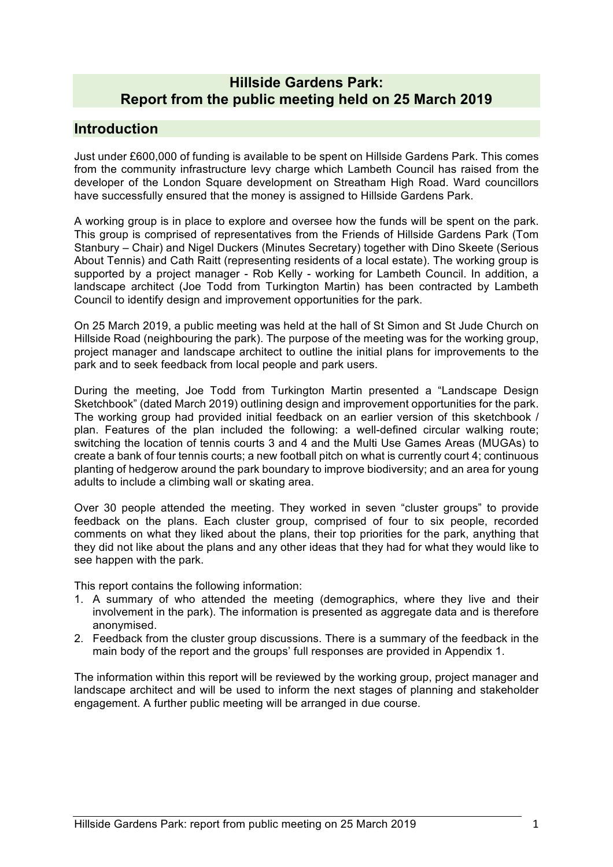## **Hillside Gardens Park: Report from the public meeting held on 25 March 2019**

## **Introduction**

Just under £600,000 of funding is available to be spent on Hillside Gardens Park. This comes from the community infrastructure levy charge which Lambeth Council has raised from the developer of the London Square development on Streatham High Road. Ward councillors have successfully ensured that the money is assigned to Hillside Gardens Park.

A working group is in place to explore and oversee how the funds will be spent on the park. This group is comprised of representatives from the Friends of Hillside Gardens Park (Tom Stanbury – Chair) and Nigel Duckers (Minutes Secretary) together with Dino Skeete (Serious About Tennis) and Cath Raitt (representing residents of a local estate). The working group is supported by a project manager - Rob Kelly - working for Lambeth Council. In addition, a landscape architect (Joe Todd from Turkington Martin) has been contracted by Lambeth Council to identify design and improvement opportunities for the park.

On 25 March 2019, a public meeting was held at the hall of St Simon and St Jude Church on Hillside Road (neighbouring the park). The purpose of the meeting was for the working group, project manager and landscape architect to outline the initial plans for improvements to the park and to seek feedback from local people and park users.

During the meeting, Joe Todd from Turkington Martin presented a "Landscape Design Sketchbook" (dated March 2019) outlining design and improvement opportunities for the park. The working group had provided initial feedback on an earlier version of this sketchbook / plan. Features of the plan included the following: a well-defined circular walking route; switching the location of tennis courts 3 and 4 and the Multi Use Games Areas (MUGAs) to create a bank of four tennis courts; a new football pitch on what is currently court 4; continuous planting of hedgerow around the park boundary to improve biodiversity; and an area for young adults to include a climbing wall or skating area.

Over 30 people attended the meeting. They worked in seven "cluster groups" to provide feedback on the plans. Each cluster group, comprised of four to six people, recorded comments on what they liked about the plans, their top priorities for the park, anything that they did not like about the plans and any other ideas that they had for what they would like to see happen with the park.

This report contains the following information:

- 1. A summary of who attended the meeting (demographics, where they live and their involvement in the park). The information is presented as aggregate data and is therefore anonymised.
- 2. Feedback from the cluster group discussions. There is a summary of the feedback in the main body of the report and the groups' full responses are provided in Appendix 1.

The information within this report will be reviewed by the working group, project manager and landscape architect and will be used to inform the next stages of planning and stakeholder engagement. A further public meeting will be arranged in due course.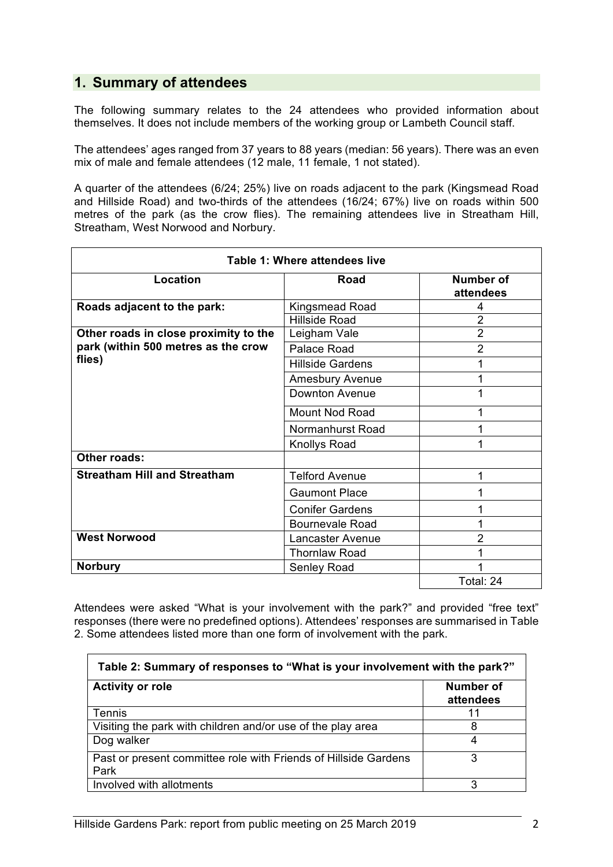# **1. Summary of attendees**

The following summary relates to the 24 attendees who provided information about themselves. It does not include members of the working group or Lambeth Council staff.

The attendees' ages ranged from 37 years to 88 years (median: 56 years). There was an even mix of male and female attendees (12 male, 11 female, 1 not stated).

A quarter of the attendees (6/24; 25%) live on roads adjacent to the park (Kingsmead Road and Hillside Road) and two-thirds of the attendees (16/24; 67%) live on roads within 500 metres of the park (as the crow flies). The remaining attendees live in Streatham Hill, Streatham, West Norwood and Norbury.

| <b>Table 1: Where attendees live</b>  |                         |                               |
|---------------------------------------|-------------------------|-------------------------------|
| Location                              | <b>Road</b>             | <b>Number of</b><br>attendees |
| Roads adjacent to the park:           | Kingsmead Road          | 4                             |
|                                       | <b>Hillside Road</b>    | $\overline{2}$                |
| Other roads in close proximity to the | Leigham Vale            | $\overline{2}$                |
| park (within 500 metres as the crow   | Palace Road             | 2                             |
| flies)                                | <b>Hillside Gardens</b> |                               |
|                                       | Amesbury Avenue         |                               |
|                                       | Downton Avenue          |                               |
|                                       | <b>Mount Nod Road</b>   |                               |
|                                       | Normanhurst Road        |                               |
|                                       | <b>Knollys Road</b>     |                               |
| Other roads:                          |                         |                               |
| <b>Streatham Hill and Streatham</b>   | <b>Telford Avenue</b>   | 1                             |
|                                       | <b>Gaumont Place</b>    |                               |
|                                       | <b>Conifer Gardens</b>  |                               |
|                                       | <b>Bournevale Road</b>  |                               |
| <b>West Norwood</b>                   | Lancaster Avenue        | 2                             |
|                                       | <b>Thornlaw Road</b>    |                               |
| <b>Norbury</b>                        | Senley Road             |                               |
|                                       |                         | Total: 24                     |

Attendees were asked "What is your involvement with the park?" and provided "free text" responses (there were no predefined options). Attendees' responses are summarised in Table 2. Some attendees listed more than one form of involvement with the park.

| Table 2: Summary of responses to "What is your involvement with the park?" |                        |  |
|----------------------------------------------------------------------------|------------------------|--|
| <b>Activity or role</b>                                                    | Number of<br>attendees |  |
| <b>Tennis</b>                                                              | 11                     |  |
| Visiting the park with children and/or use of the play area                | 8                      |  |
| Dog walker                                                                 | 4                      |  |
| Past or present committee role with Friends of Hillside Gardens<br>Park    | 3                      |  |
| Involved with allotments                                                   | 3                      |  |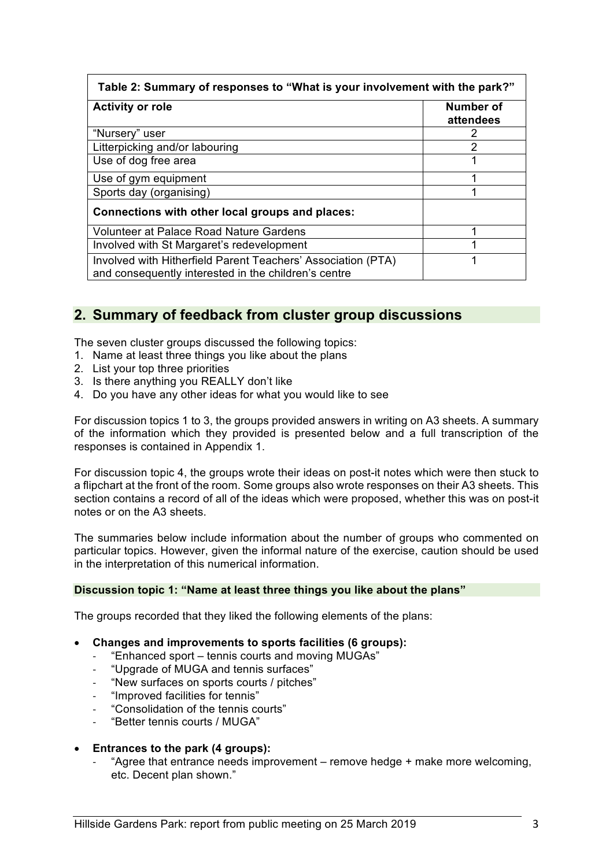| Table 2: Summary of responses to "What is your involvement with the park?"                                           |                        |  |
|----------------------------------------------------------------------------------------------------------------------|------------------------|--|
| <b>Activity or role</b>                                                                                              | Number of<br>attendees |  |
| "Nursery" user                                                                                                       | 2                      |  |
| Litterpicking and/or labouring                                                                                       | 2                      |  |
| Use of dog free area                                                                                                 | 1                      |  |
| Use of gym equipment                                                                                                 |                        |  |
| Sports day (organising)                                                                                              |                        |  |
| Connections with other local groups and places:                                                                      |                        |  |
| Volunteer at Palace Road Nature Gardens                                                                              | ◢                      |  |
| Involved with St Margaret's redevelopment                                                                            |                        |  |
| Involved with Hitherfield Parent Teachers' Association (PTA)<br>and consequently interested in the children's centre |                        |  |

# **2. Summary of feedback from cluster group discussions**

The seven cluster groups discussed the following topics:

- 1. Name at least three things you like about the plans
- 2. List your top three priorities
- 3. Is there anything you REALLY don't like
- 4. Do you have any other ideas for what you would like to see

For discussion topics 1 to 3, the groups provided answers in writing on A3 sheets. A summary of the information which they provided is presented below and a full transcription of the responses is contained in Appendix 1.

For discussion topic 4, the groups wrote their ideas on post-it notes which were then stuck to a flipchart at the front of the room. Some groups also wrote responses on their A3 sheets. This section contains a record of all of the ideas which were proposed, whether this was on post-it notes or on the A3 sheets.

The summaries below include information about the number of groups who commented on particular topics. However, given the informal nature of the exercise, caution should be used in the interpretation of this numerical information.

#### **Discussion topic 1: "Name at least three things you like about the plans"**

The groups recorded that they liked the following elements of the plans:

- **Changes and improvements to sports facilities (6 groups):**
	- "Enhanced sport tennis courts and moving MUGAs"
	- "Upgrade of MUGA and tennis surfaces"
	- "New surfaces on sports courts / pitches"
	- "Improved facilities for tennis"
	- "Consolidation of the tennis courts"
	- "Better tennis courts / MUGA"
- **Entrances to the park (4 groups):**
	- "Agree that entrance needs improvement remove hedge + make more welcoming, etc. Decent plan shown."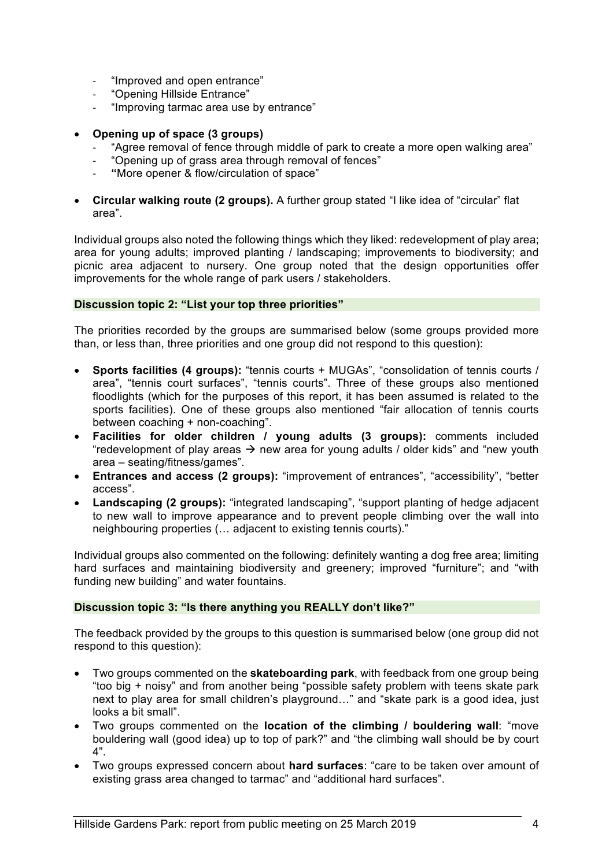- "Improved and open entrance"
- "Opening Hillside Entrance"
- "Improving tarmac area use by entrance"
- **Opening up of space (3 groups)**
	- "Agree removal of fence through middle of park to create a more open walking area"
	- "Opening up of grass area through removal of fences"
	- **"**More opener & flow/circulation of space"
- **Circular walking route (2 groups).** A further group stated "I like idea of "circular" flat area".

Individual groups also noted the following things which they liked: redevelopment of play area; area for young adults; improved planting / landscaping; improvements to biodiversity; and picnic area adjacent to nursery. One group noted that the design opportunities offer improvements for the whole range of park users / stakeholders.

#### **Discussion topic 2: "List your top three priorities"**

The priorities recorded by the groups are summarised below (some groups provided more than, or less than, three priorities and one group did not respond to this question):

- **Sports facilities (4 groups):** "tennis courts + MUGAs", "consolidation of tennis courts / area", "tennis court surfaces", "tennis courts". Three of these groups also mentioned floodlights (which for the purposes of this report, it has been assumed is related to the sports facilities). One of these groups also mentioned "fair allocation of tennis courts between coaching + non-coaching".
- **Facilities for older children / young adults (3 groups):** comments included "redevelopment of play areas  $\rightarrow$  new area for young adults / older kids" and "new youth area – seating/fitness/games".
- **Entrances and access (2 groups):** "improvement of entrances", "accessibility", "better access".
- **Landscaping (2 groups):** "integrated landscaping", "support planting of hedge adjacent to new wall to improve appearance and to prevent people climbing over the wall into neighbouring properties (… adjacent to existing tennis courts)."

Individual groups also commented on the following: definitely wanting a dog free area; limiting hard surfaces and maintaining biodiversity and greenery; improved "furniture"; and "with funding new building" and water fountains.

#### **Discussion topic 3: "Is there anything you REALLY don't like?"**

The feedback provided by the groups to this question is summarised below (one group did not respond to this question):

- Two groups commented on the **skateboarding park**, with feedback from one group being "too big + noisy" and from another being "possible safety problem with teens skate park next to play area for small children's playground…" and "skate park is a good idea, just looks a bit small".
- Two groups commented on the **location of the climbing / bouldering wall**: "move bouldering wall (good idea) up to top of park?" and "the climbing wall should be by court 4".
- Two groups expressed concern about **hard surfaces**: "care to be taken over amount of existing grass area changed to tarmac" and "additional hard surfaces".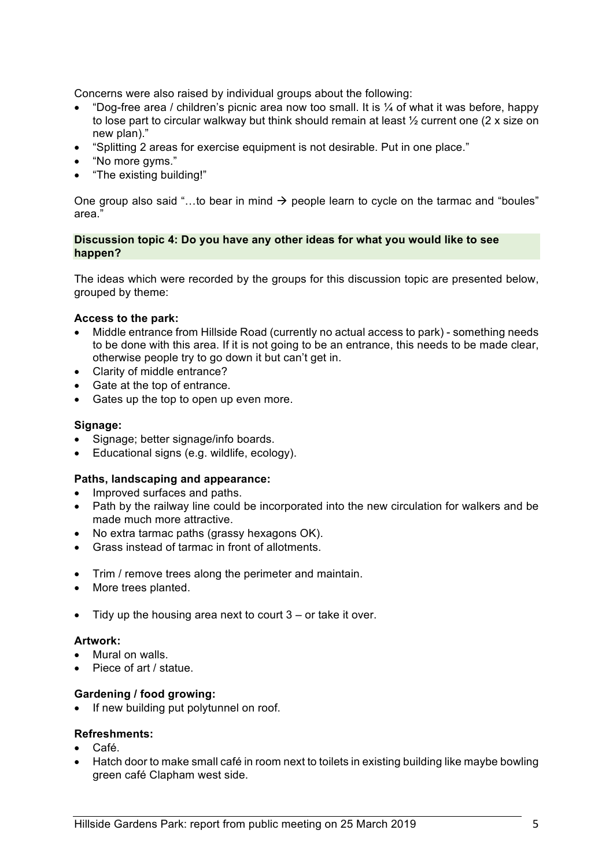Concerns were also raised by individual groups about the following:

- "Dog-free area / children's picnic area now too small. It is  $\frac{1}{4}$  of what it was before, happy to lose part to circular walkway but think should remain at least ½ current one (2 x size on new plan)."
- "Splitting 2 areas for exercise equipment is not desirable. Put in one place."
- "No more gyms."
- "The existing building!"

One group also said "...to bear in mind  $\rightarrow$  people learn to cycle on the tarmac and "boules" area."

### **Discussion topic 4: Do you have any other ideas for what you would like to see happen?**

The ideas which were recorded by the groups for this discussion topic are presented below, grouped by theme:

### **Access to the park:**

- Middle entrance from Hillside Road (currently no actual access to park) something needs to be done with this area. If it is not going to be an entrance, this needs to be made clear, otherwise people try to go down it but can't get in.
- Clarity of middle entrance?
- Gate at the top of entrance.
- Gates up the top to open up even more.

### **Signage:**

- Signage; better signage/info boards.
- Educational signs (e.g. wildlife, ecology).

### **Paths, landscaping and appearance:**

- Improved surfaces and paths.
- Path by the railway line could be incorporated into the new circulation for walkers and be made much more attractive.
- No extra tarmac paths (grassy hexagons OK).
- Grass instead of tarmac in front of allotments.
- Trim / remove trees along the perimeter and maintain.
- More trees planted.
- $\bullet$  Tidy up the housing area next to court  $3 -$  or take it over.

#### **Artwork:**

- Mural on walls.
- Piece of art / statue.

### **Gardening / food growing:**

• If new building put polytunnel on roof.

### **Refreshments:**

- Café.
- Hatch door to make small café in room next to toilets in existing building like maybe bowling green café Clapham west side.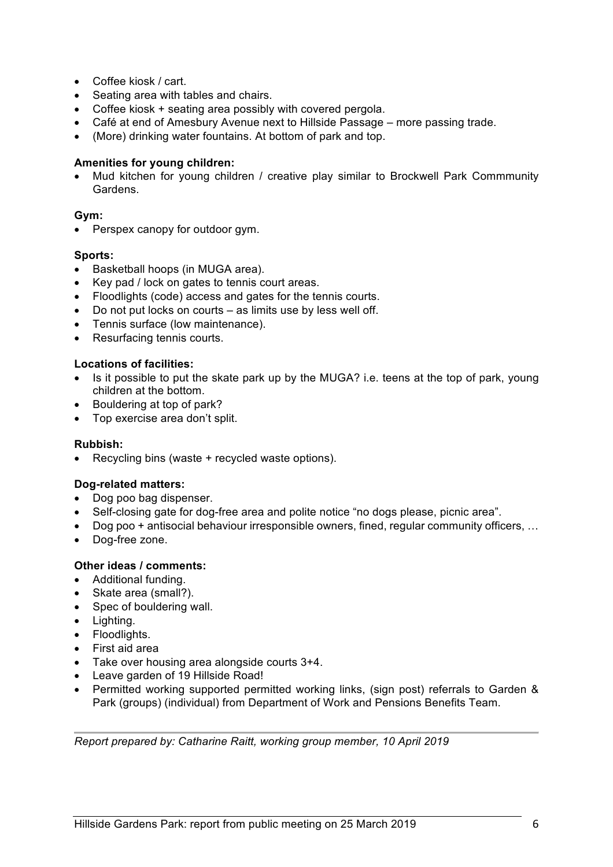- Coffee kiosk / cart.
- Seating area with tables and chairs.
- Coffee kiosk + seating area possibly with covered pergola.
- Café at end of Amesbury Avenue next to Hillside Passage more passing trade.
- (More) drinking water fountains. At bottom of park and top.

### **Amenities for young children:**

• Mud kitchen for young children / creative play similar to Brockwell Park Commmunity Gardens.

## **Gym:**

• Perspex canopy for outdoor gym.

### **Sports:**

- Basketball hoops (in MUGA area).
- Key pad / lock on gates to tennis court areas.
- Floodlights (code) access and gates for the tennis courts.
- Do not put locks on courts as limits use by less well off.
- Tennis surface (low maintenance).
- Resurfacing tennis courts.

### **Locations of facilities:**

- Is it possible to put the skate park up by the MUGA? i.e. teens at the top of park, young children at the bottom.
- Bouldering at top of park?
- Top exercise area don't split.

### **Rubbish:**

• Recycling bins (waste + recycled waste options).

### **Dog-related matters:**

- Dog poo bag dispenser.
- Self-closing gate for dog-free area and polite notice "no dogs please, picnic area".
- Dog poo + antisocial behaviour irresponsible owners, fined, regular community officers, …
- Dog-free zone.

### **Other ideas / comments:**

- Additional funding.
- Skate area (small?).
- Spec of bouldering wall.
- Lighting.
- Floodlights.
- First aid area
- Take over housing area alongside courts 3+4.
- Leave garden of 19 Hillside Road!
- Permitted working supported permitted working links, (sign post) referrals to Garden & Park (groups) (individual) from Department of Work and Pensions Benefits Team.

*Report prepared by: Catharine Raitt, working group member, 10 April 2019*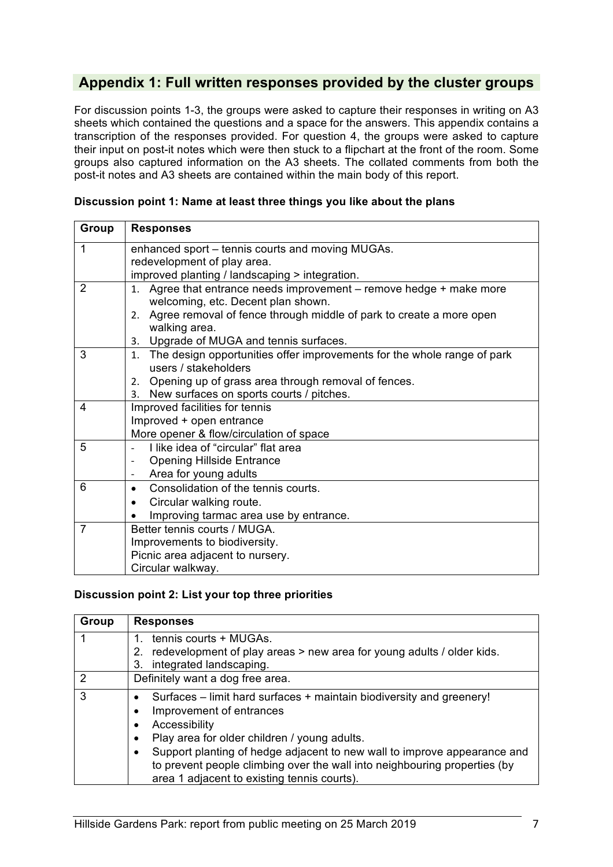# **Appendix 1: Full written responses provided by the cluster groups**

For discussion points 1-3, the groups were asked to capture their responses in writing on A3 sheets which contained the questions and a space for the answers. This appendix contains a transcription of the responses provided. For question 4, the groups were asked to capture their input on post-it notes which were then stuck to a flipchart at the front of the room. Some groups also captured information on the A3 sheets. The collated comments from both the post-it notes and A3 sheets are contained within the main body of this report.

| Group | <b>Responses</b>                                                              |
|-------|-------------------------------------------------------------------------------|
|       |                                                                               |
| 1     | enhanced sport – tennis courts and moving MUGAs.                              |
|       | redevelopment of play area.                                                   |
|       | improved planting / landscaping > integration.                                |
| 2     | Agree that entrance needs improvement - remove hedge + make more<br>1.        |
|       | welcoming, etc. Decent plan shown.                                            |
|       | Agree removal of fence through middle of park to create a more open<br>2.     |
|       | walking area.                                                                 |
|       | Upgrade of MUGA and tennis surfaces.<br>3.                                    |
| 3     | The design opportunities offer improvements for the whole range of park<br>1. |
|       | users / stakeholders                                                          |
|       | 2. Opening up of grass area through removal of fences.                        |
|       | 3. New surfaces on sports courts / pitches.                                   |
| 4     | Improved facilities for tennis                                                |
|       | Improved + open entrance                                                      |
|       | More opener & flow/circulation of space                                       |
| 5     | I like idea of "circular" flat area                                           |
|       | <b>Opening Hillside Entrance</b>                                              |
|       | Area for young adults                                                         |
| 6     | Consolidation of the tennis courts.<br>$\bullet$                              |
|       | Circular walking route.<br>٠                                                  |
|       | Improving tarmac area use by entrance.                                        |
| 7     | Better tennis courts / MUGA.                                                  |
|       | Improvements to biodiversity.                                                 |
|       | Picnic area adjacent to nursery.                                              |
|       | Circular walkway.                                                             |

### **Discussion point 1: Name at least three things you like about the plans**

#### **Discussion point 2: List your top three priorities**

| Group         | <b>Responses</b>                                                                                                                                                                                                  |
|---------------|-------------------------------------------------------------------------------------------------------------------------------------------------------------------------------------------------------------------|
|               | tennis courts + MUGAs.<br>redevelopment of play areas > new area for young adults / older kids.<br>2.                                                                                                             |
|               | integrated landscaping.<br>3.                                                                                                                                                                                     |
| $\mathcal{P}$ | Definitely want a dog free area.                                                                                                                                                                                  |
| 3             | Surfaces – limit hard surfaces + maintain biodiversity and greenery!<br>Improvement of entrances                                                                                                                  |
|               | Accessibility<br>Play area for older children / young adults.<br>$\bullet$                                                                                                                                        |
|               | Support planting of hedge adjacent to new wall to improve appearance and<br>$\bullet$<br>to prevent people climbing over the wall into neighbouring properties (by<br>area 1 adjacent to existing tennis courts). |